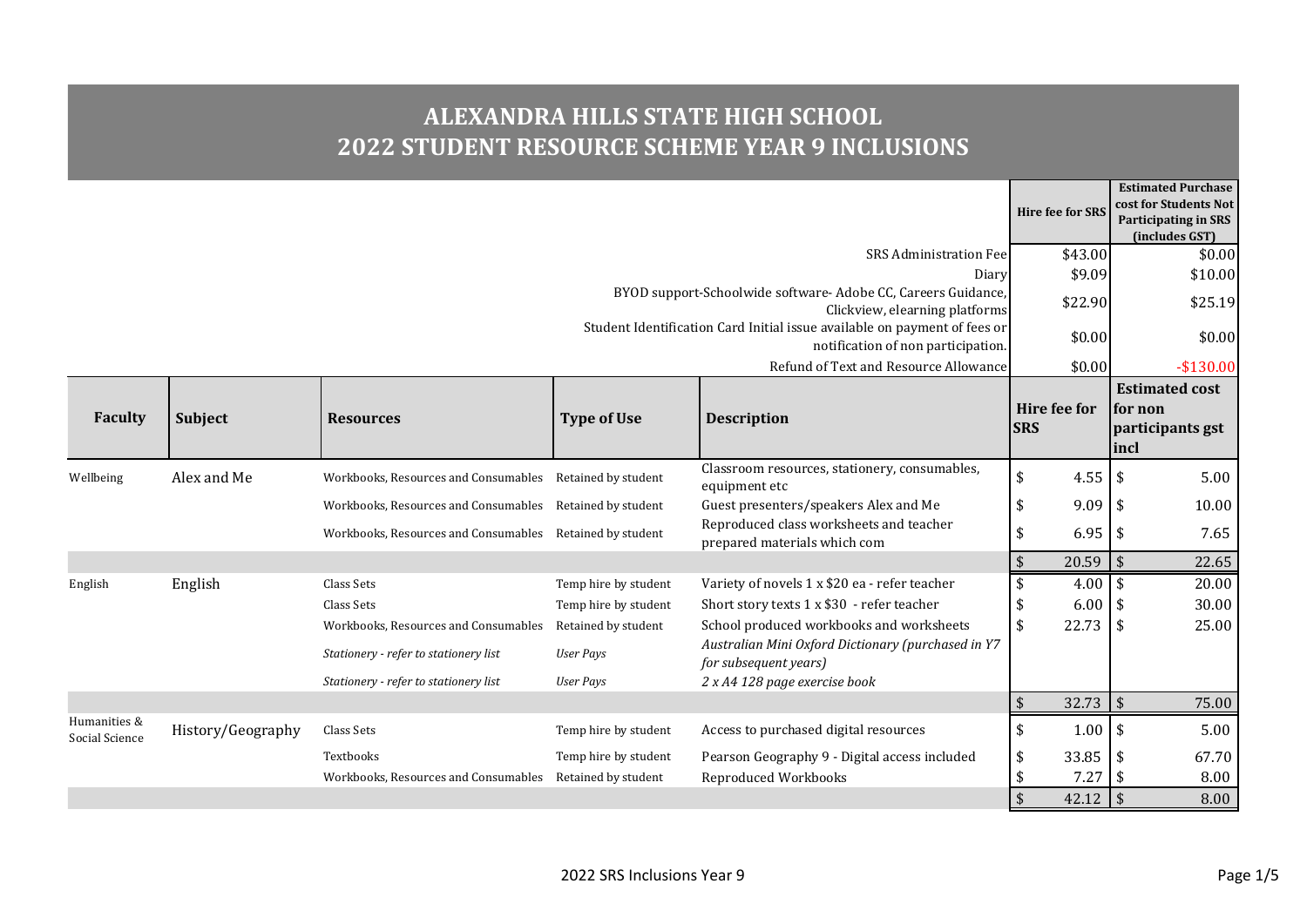## **ALEXANDRA HILLS STATE HIGH SCHOOL 2022 STUDENT RESOURCE SCHEME YEAR 9 INCLUSIONS**

|                                |                                                                                                 |                                                          |                      |                                                                                                                 | <b>Hire fee for SRS</b>    | <b>Estimated Purchase</b><br>cost for Students Not<br><b>Participating in SRS</b><br>(includes GST) |
|--------------------------------|-------------------------------------------------------------------------------------------------|----------------------------------------------------------|----------------------|-----------------------------------------------------------------------------------------------------------------|----------------------------|-----------------------------------------------------------------------------------------------------|
|                                |                                                                                                 |                                                          |                      | <b>SRS Administration Fee</b>                                                                                   | \$43.00                    | \$0.00                                                                                              |
|                                |                                                                                                 |                                                          |                      | Diary                                                                                                           | \$9.09                     | \$10.00                                                                                             |
|                                | BYOD support-Schoolwide software- Adobe CC, Careers Guidance,<br>Clickview, elearning platforms |                                                          |                      |                                                                                                                 |                            | \$25.19                                                                                             |
|                                |                                                                                                 |                                                          |                      | Student Identification Card Initial issue available on payment of fees or<br>notification of non participation. | \$0.00                     | \$0.00                                                                                              |
|                                |                                                                                                 |                                                          |                      | Refund of Text and Resource Allowance                                                                           | \$0.00                     | $-$130.00$                                                                                          |
| <b>Faculty</b>                 | Subject                                                                                         | <b>Resources</b>                                         | <b>Type of Use</b>   | <b>Description</b>                                                                                              | Hire fee for<br><b>SRS</b> | <b>Estimated cost</b><br>for non<br>participants gst<br>incl                                        |
| Wellbeing                      | Alex and Me                                                                                     | Workbooks, Resources and Consumables Retained by student |                      | Classroom resources, stationery, consumables,<br>equipment etc                                                  | \$<br>4.55                 | \$<br>5.00                                                                                          |
|                                |                                                                                                 | Workbooks, Resources and Consumables Retained by student |                      | Guest presenters/speakers Alex and Me                                                                           | 9.09<br>\$                 | \$<br>10.00                                                                                         |
|                                |                                                                                                 | Workbooks, Resources and Consumables Retained by student |                      | Reproduced class worksheets and teacher<br>prepared materials which com                                         | 6.95<br>\$                 | \$<br>7.65                                                                                          |
|                                |                                                                                                 |                                                          |                      |                                                                                                                 | 20.59                      | $\mathfrak{s}$<br>22.65                                                                             |
| English                        | English                                                                                         | Class Sets                                               | Temp hire by student | Variety of novels 1 x \$20 ea - refer teacher                                                                   | \$<br>$4.00$ \ \$          | 20.00                                                                                               |
|                                |                                                                                                 | Class Sets                                               | Temp hire by student | Short story texts 1 x \$30 - refer teacher                                                                      | \$<br>6.00                 | 30.00<br>\$                                                                                         |
|                                |                                                                                                 | Workbooks, Resources and Consumables                     | Retained by student  | School produced workbooks and worksheets                                                                        | 22.73<br>$\sqrt{2}$        | \$<br>25.00                                                                                         |
|                                |                                                                                                 | Stationery - refer to stationery list                    | <b>User Pays</b>     | Australian Mini Oxford Dictionary (purchased in Y7<br>for subsequent years)                                     |                            |                                                                                                     |
|                                |                                                                                                 | Stationery - refer to stationery list                    | <b>User Pays</b>     | 2 x A4 128 page exercise book                                                                                   |                            |                                                                                                     |
|                                |                                                                                                 |                                                          |                      |                                                                                                                 | $\sqrt{2}$<br>32.73        | $\sqrt{5}$<br>75.00                                                                                 |
| Humanities &<br>Social Science | History/Geography                                                                               | Class Sets                                               | Temp hire by student | Access to purchased digital resources                                                                           | $\frac{1}{2}$<br>1.00      | $\sqrt{2}$<br>5.00                                                                                  |
|                                |                                                                                                 | Textbooks                                                | Temp hire by student | Pearson Geography 9 - Digital access included                                                                   | 33.85<br>\$                | \$<br>67.70                                                                                         |
|                                |                                                                                                 | Workbooks, Resources and Consumables                     | Retained by student  | Reproduced Workbooks                                                                                            | 7.27<br>\$                 | \$<br>8.00                                                                                          |
|                                |                                                                                                 |                                                          |                      |                                                                                                                 | 42.12                      | \$<br>8.00                                                                                          |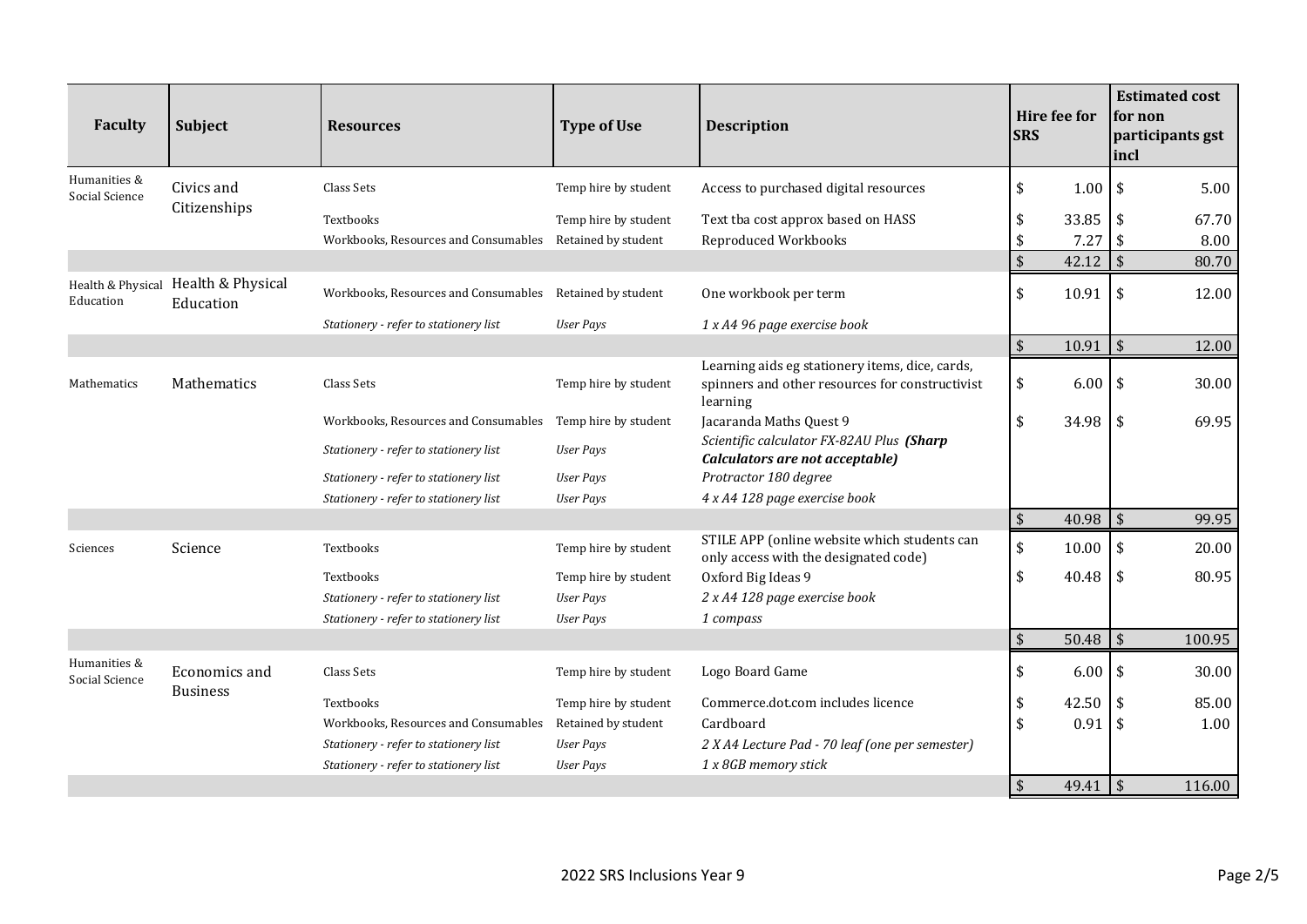| <b>Faculty</b>                 | Subject                          | <b>Resources</b>                                         | <b>Type of Use</b>   | <b>Description</b>                                                                                             | Hire fee for<br><b>SRS</b>       | <b>Estimated cost</b><br>for non<br>participants gst<br> incl |
|--------------------------------|----------------------------------|----------------------------------------------------------|----------------------|----------------------------------------------------------------------------------------------------------------|----------------------------------|---------------------------------------------------------------|
| Humanities &<br>Social Science | Civics and                       | Class Sets                                               | Temp hire by student | Access to purchased digital resources                                                                          | $\sqrt{2}$<br>1.00               | 5.00<br>-\$                                                   |
|                                | Citizenships                     | Textbooks                                                | Temp hire by student | Text tba cost approx based on HASS                                                                             | 33.85<br>\$                      | 67.70<br>\$                                                   |
|                                |                                  | Workbooks, Resources and Consumables Retained by student |                      | <b>Reproduced Workbooks</b>                                                                                    | 7.27<br>\$                       | \$<br>8.00                                                    |
|                                |                                  |                                                          |                      |                                                                                                                | $\sqrt{5}$<br>42.12              | $\sqrt{2}$<br>80.70                                           |
| Health & Physical<br>Education | Health & Physical<br>Education   | Workbooks, Resources and Consumables Retained by student |                      | One workbook per term                                                                                          | \$<br>10.91                      | $\sqrt{2}$<br>12.00                                           |
|                                |                                  | Stationery - refer to stationery list                    | <b>User Pays</b>     | 1 x A4 96 page exercise book                                                                                   |                                  |                                                               |
|                                |                                  |                                                          |                      |                                                                                                                | $\sqrt{2}$<br>10.91              | $\sqrt{2}$<br>12.00                                           |
| Mathematics                    | Mathematics                      | Class Sets                                               | Temp hire by student | Learning aids eg stationery items, dice, cards,<br>spinners and other resources for constructivist<br>learning | \$<br>6.00                       | $\sqrt[6]{3}$<br>30.00                                        |
|                                |                                  | Workbooks, Resources and Consumables                     | Temp hire by student | Jacaranda Maths Quest 9                                                                                        | $\sqrt{2}$<br>34.98              | \$<br>69.95                                                   |
|                                |                                  | Stationery - refer to stationery list                    | <b>User Pays</b>     | Scientific calculator FX-82AU Plus (Sharp<br>Calculators are not acceptable)                                   |                                  |                                                               |
|                                |                                  | Stationery - refer to stationery list                    | <b>User Pays</b>     | Protractor 180 degree                                                                                          |                                  |                                                               |
|                                |                                  | Stationery - refer to stationery list                    | <b>User Pays</b>     | 4 x A4 128 page exercise book                                                                                  |                                  |                                                               |
|                                |                                  |                                                          |                      |                                                                                                                | 40.98<br>$\sqrt[6]{}$            | $\sqrt{5}$<br>99.95                                           |
| Sciences                       | Science                          | Textbooks                                                | Temp hire by student | STILE APP (online website which students can<br>only access with the designated code)                          | $\sqrt{2}$<br>10.00              | \$<br>20.00                                                   |
|                                |                                  | Textbooks                                                | Temp hire by student | Oxford Big Ideas 9                                                                                             | \$<br>40.48                      | \$<br>80.95                                                   |
|                                |                                  | Stationery - refer to stationery list                    | <b>User Pays</b>     | 2 x A4 128 page exercise book                                                                                  |                                  |                                                               |
|                                |                                  | Stationery - refer to stationery list                    | <b>User Pays</b>     | 1 compass                                                                                                      |                                  |                                                               |
|                                |                                  |                                                          |                      |                                                                                                                | $\sqrt{2}$<br>50.48              | $\vert$ \$<br>100.95                                          |
| Humanities &<br>Social Science | Economics and<br><b>Business</b> | Class Sets                                               | Temp hire by student | Logo Board Game                                                                                                | $\sqrt[6]{3}$<br>6.00            | $\sqrt{2}$<br>30.00                                           |
|                                |                                  | Textbooks                                                | Temp hire by student | Commerce.dot.com includes licence                                                                              | 42.50<br>\$                      | 85.00<br>\$                                                   |
|                                |                                  | Workbooks, Resources and Consumables                     | Retained by student  | Cardboard                                                                                                      | $\sqrt{2}$<br>0.91               | \$<br>1.00                                                    |
|                                |                                  | Stationery - refer to stationery list                    | <b>User Pays</b>     | 2 X A4 Lecture Pad - 70 leaf (one per semester)                                                                |                                  |                                                               |
|                                |                                  | Stationery - refer to stationery list                    | <b>User Pays</b>     | 1 x 8GB memory stick                                                                                           |                                  |                                                               |
|                                |                                  |                                                          |                      |                                                                                                                | $\mathbf{\hat{S}}$<br>$49.41$ \$ | 116.00                                                        |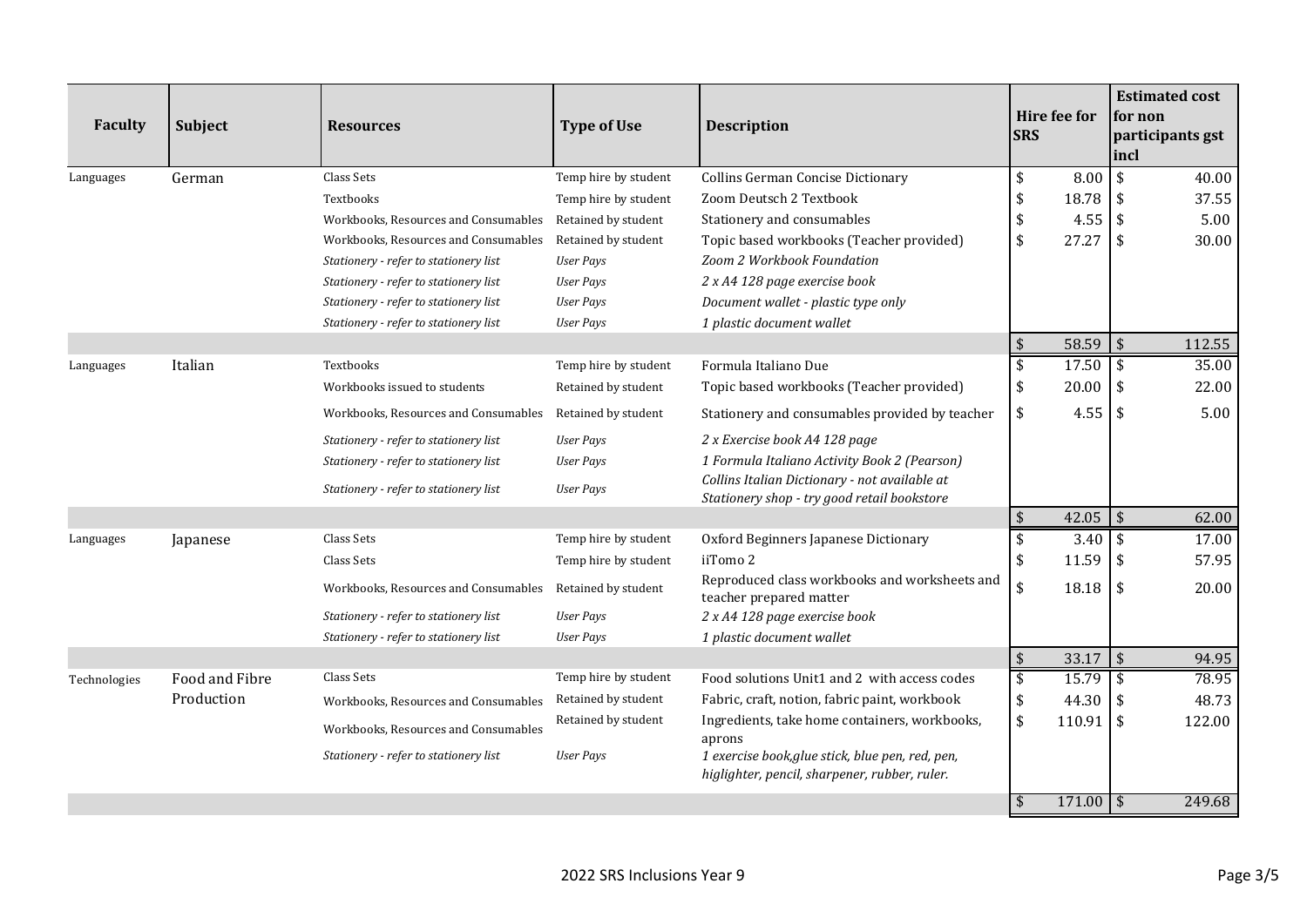| <b>Faculty</b> | <b>Subject</b> | <b>Resources</b>                      | <b>Type of Use</b>   | <b>Description</b>                                                                                | Hire fee for<br><b>SRS</b>             | <b>Estimated cost</b><br>for non<br>participants gst<br>incl |
|----------------|----------------|---------------------------------------|----------------------|---------------------------------------------------------------------------------------------------|----------------------------------------|--------------------------------------------------------------|
| Languages      | German         | Class Sets                            | Temp hire by student | <b>Collins German Concise Dictionary</b>                                                          | 8.00<br>\$                             | \$<br>40.00                                                  |
|                |                | Textbooks                             | Temp hire by student | Zoom Deutsch 2 Textbook                                                                           | 18.78<br>\$                            | \$<br>37.55                                                  |
|                |                | Workbooks, Resources and Consumables  | Retained by student  | Stationery and consumables                                                                        | \$<br>4.55                             | \$<br>5.00                                                   |
|                |                | Workbooks, Resources and Consumables  | Retained by student  | Topic based workbooks (Teacher provided)                                                          | 27.27<br>\$                            | \$<br>30.00                                                  |
|                |                | Stationery - refer to stationery list | <b>User Pays</b>     | Zoom 2 Workbook Foundation                                                                        |                                        |                                                              |
|                |                | Stationery - refer to stationery list | <b>User Pays</b>     | 2 x A4 128 page exercise book                                                                     |                                        |                                                              |
|                |                | Stationery - refer to stationery list | <b>User Pays</b>     | Document wallet - plastic type only                                                               |                                        |                                                              |
|                |                | Stationery - refer to stationery list | <b>User Pays</b>     | 1 plastic document wallet                                                                         |                                        |                                                              |
|                |                |                                       |                      |                                                                                                   | \$<br>58.59                            | $\sqrt{5}$<br>112.55                                         |
| Languages      | Italian        | Textbooks                             | Temp hire by student | Formula Italiano Due                                                                              | \$<br>17.50                            | $\frac{1}{2}$<br>35.00                                       |
|                |                | Workbooks issued to students          | Retained by student  | Topic based workbooks (Teacher provided)                                                          | \$<br>20.00                            | \$<br>22.00                                                  |
|                |                | Workbooks, Resources and Consumables  | Retained by student  | Stationery and consumables provided by teacher                                                    | 4.55<br>\$                             | \$<br>5.00                                                   |
|                |                | Stationery - refer to stationery list | <b>User Pays</b>     | 2 x Exercise book A4 128 page                                                                     |                                        |                                                              |
|                |                | Stationery - refer to stationery list | <b>User Pays</b>     | 1 Formula Italiano Activity Book 2 (Pearson)                                                      |                                        |                                                              |
|                |                | Stationery - refer to stationery list | <b>User Pays</b>     | Collins Italian Dictionary - not available at<br>Stationery shop - try good retail bookstore      |                                        |                                                              |
|                |                |                                       |                      |                                                                                                   | $42.05$ \$<br>\$                       | 62.00                                                        |
| Languages      | Japanese       | Class Sets                            | Temp hire by student | Oxford Beginners Japanese Dictionary                                                              | \$<br>$3.40 \,$ \$                     | 17.00                                                        |
|                |                | Class Sets                            | Temp hire by student | iiTomo 2                                                                                          | 11.59<br>\$                            | 57.95<br>\$                                                  |
|                |                | Workbooks, Resources and Consumables  | Retained by student  | Reproduced class workbooks and worksheets and<br>teacher prepared matter                          | \$<br>18.18                            | \$<br>20.00                                                  |
|                |                | Stationery - refer to stationery list | <b>User Pays</b>     | 2 x A4 128 page exercise book                                                                     |                                        |                                                              |
|                |                | Stationery - refer to stationery list | <b>User Pays</b>     | 1 plastic document wallet                                                                         |                                        |                                                              |
|                |                |                                       |                      |                                                                                                   | $\sqrt{2}$<br>$33.17$ \$               | 94.95                                                        |
| Technologies   | Food and Fibre | Class Sets                            | Temp hire by student | Food solutions Unit1 and 2 with access codes                                                      | \$<br>15.79                            | \$<br>78.95                                                  |
|                | Production     | Workbooks, Resources and Consumables  | Retained by student  | Fabric, craft, notion, fabric paint, workbook                                                     | 44.30<br>\$                            | \$<br>48.73                                                  |
|                |                | Workbooks, Resources and Consumables  | Retained by student  | Ingredients, take home containers, workbooks,<br>aprons                                           | \$<br>110.91                           | \$<br>122.00                                                 |
|                |                | Stationery - refer to stationery list | <b>User Pays</b>     | 1 exercise book, glue stick, blue pen, red, pen,<br>higlighter, pencil, sharpener, rubber, ruler. |                                        |                                                              |
|                |                |                                       |                      |                                                                                                   | $171.00$ \$<br>$\overline{\mathbf{S}}$ | 249.68                                                       |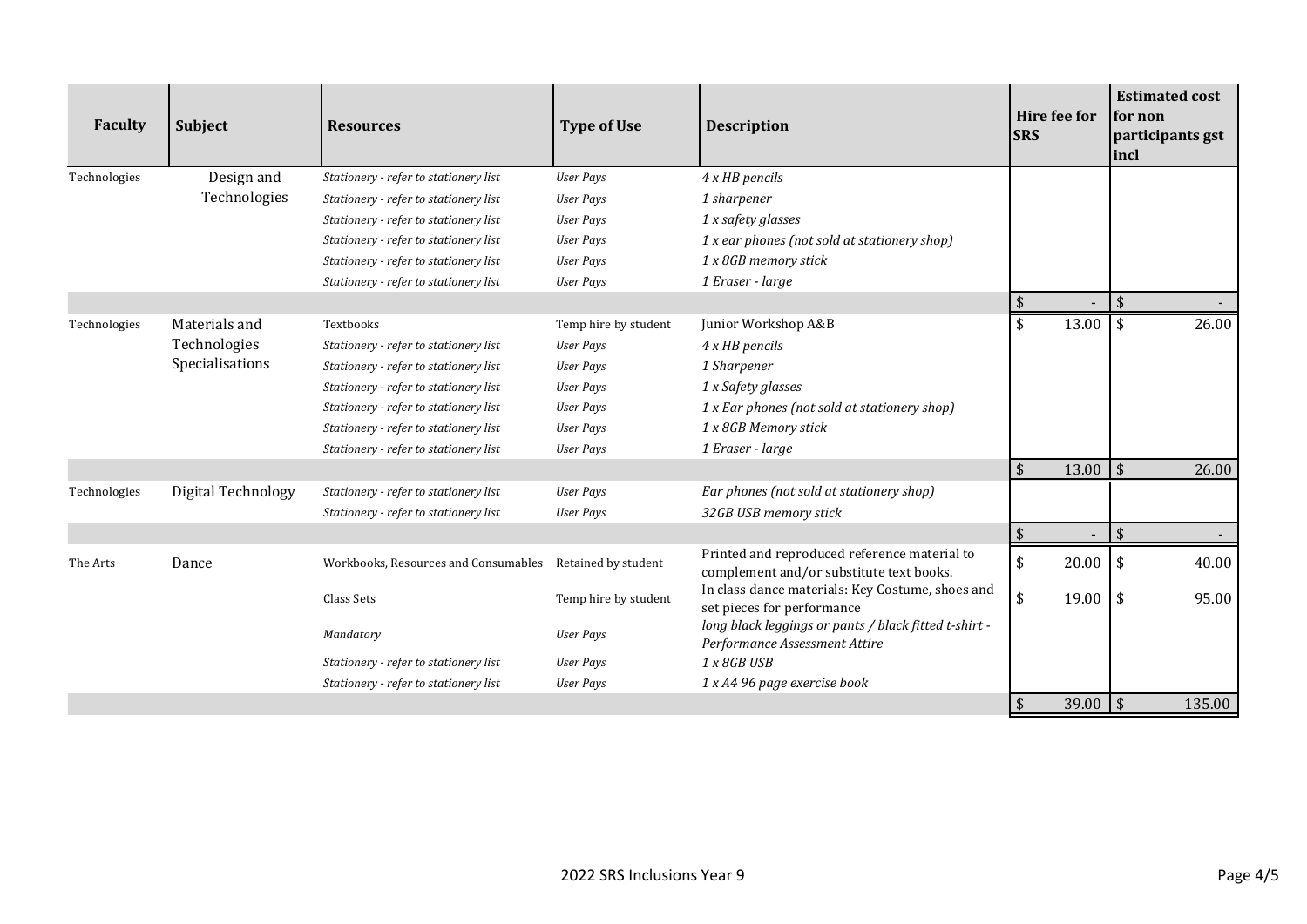| Faculty      | <b>Subject</b>     | <b>Resources</b>                                         | <b>Type of Use</b>   | <b>Description</b>                                                                       | <b>Hire fee for</b><br><b>SRS</b> | <b>Estimated cost</b><br>for non<br>participants gst<br> incl |
|--------------|--------------------|----------------------------------------------------------|----------------------|------------------------------------------------------------------------------------------|-----------------------------------|---------------------------------------------------------------|
| Technologies | Design and         | Stationery - refer to stationery list                    | <b>User Pays</b>     | 4 x HB pencils                                                                           |                                   |                                                               |
|              | Technologies       | Stationery - refer to stationery list                    | <b>User Pays</b>     | 1 sharpener                                                                              |                                   |                                                               |
|              |                    | Stationery - refer to stationery list                    | <b>User Pays</b>     | 1 x safety glasses                                                                       |                                   |                                                               |
|              |                    | Stationery - refer to stationery list                    | <b>User Pays</b>     | 1 x ear phones (not sold at stationery shop)                                             |                                   |                                                               |
|              |                    | Stationery - refer to stationery list                    | <b>User Pays</b>     | 1 x 8GB memory stick                                                                     |                                   |                                                               |
|              |                    | Stationery - refer to stationery list                    | <b>User Pays</b>     | 1 Eraser - large                                                                         |                                   |                                                               |
|              |                    |                                                          |                      |                                                                                          |                                   | $\frac{1}{2}$                                                 |
| Technologies | Materials and      | Textbooks                                                | Temp hire by student | Junior Workshop A&B                                                                      | 13.00<br>-\$                      | 26.00<br>\$                                                   |
|              | Technologies       | Stationery - refer to stationery list                    | <b>User Pays</b>     | 4 x HB pencils                                                                           |                                   |                                                               |
|              | Specialisations    | Stationery - refer to stationery list                    | User Pays            | 1 Sharpener                                                                              |                                   |                                                               |
|              |                    | Stationery - refer to stationery list                    | <b>User Pays</b>     | 1 x Safety glasses                                                                       |                                   |                                                               |
|              |                    | Stationery - refer to stationery list                    | <b>User Pays</b>     | 1 x Ear phones (not sold at stationery shop)                                             |                                   |                                                               |
|              |                    | Stationery - refer to stationery list                    | <b>User Pays</b>     | 1 x 8GB Memory stick                                                                     |                                   |                                                               |
|              |                    | Stationery - refer to stationery list                    | <b>User Pays</b>     | 1 Eraser - large                                                                         |                                   |                                                               |
|              |                    |                                                          |                      |                                                                                          | $\sqrt{5}$<br>13.00               | $\sqrt{5}$<br>26.00                                           |
| Technologies | Digital Technology | Stationery - refer to stationery list                    | User Pays            | Ear phones (not sold at stationery shop)                                                 |                                   |                                                               |
|              |                    | Stationery - refer to stationery list                    | <b>User Pays</b>     | 32GB USB memory stick                                                                    |                                   |                                                               |
|              |                    |                                                          |                      |                                                                                          | $\sqrt{2}$                        | $\boldsymbol{\$}$<br>$\overline{\phantom{a}}$                 |
| The Arts     | Dance              | Workbooks, Resources and Consumables Retained by student |                      | Printed and reproduced reference material to<br>complement and/or substitute text books. | \$<br>20.00                       | \$<br>40.00                                                   |
|              |                    | Class Sets                                               | Temp hire by student | In class dance materials: Key Costume, shoes and<br>set pieces for performance           | $\sqrt{2}$<br>19.00               | \$<br>95.00                                                   |
|              |                    | Mandatory                                                | User Pays            | long black leggings or pants / black fitted t-shirt -<br>Performance Assessment Attire   |                                   |                                                               |
|              |                    | Stationery - refer to stationery list                    | <b>User Pays</b>     | 1 x 8GB USB                                                                              |                                   |                                                               |
|              |                    | Stationery - refer to stationery list                    | <b>User Pays</b>     | 1 x A4 96 page exercise book                                                             |                                   |                                                               |
|              |                    |                                                          |                      |                                                                                          | $\sqrt{2}$<br>39.00               | $\sqrt{5}$<br>135.00                                          |